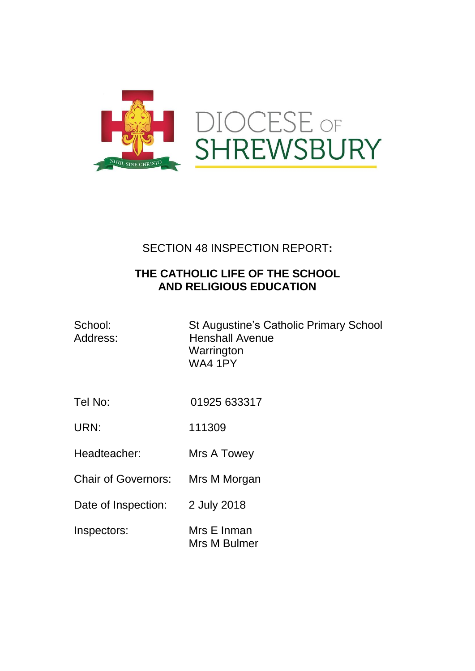

## SECTION 48 INSPECTION REPORT**:**

## **THE CATHOLIC LIFE OF THE SCHOOL AND RELIGIOUS EDUCATION**

| School:  |  |
|----------|--|
| Address: |  |

St Augustine's Catholic Primary School **Henshall Avenue Warrington** WA4 1PY

- Tel No: 01925 633317
- URN: 111309
- Headteacher: Mrs A Towey
- Chair of Governors: Mrs M Morgan
- Date of Inspection: 2 July 2018
- Inspectors: Mrs E Inman Mrs M Bulmer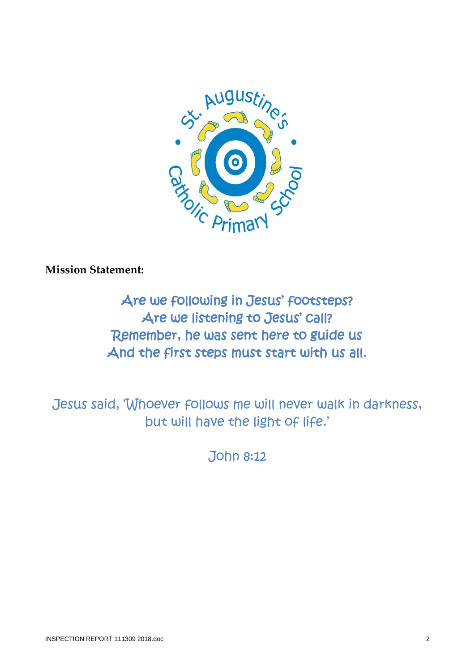

**Mission Statement:** 

Are we following in Jesus' footsteps? Are we listening to Jesus' call? Remember, he was sent here to guide us And the first steps must start with us all.

Jesus said, 'Whoever follows me will never walk in darkness, but will have the light of life.'

John 8:12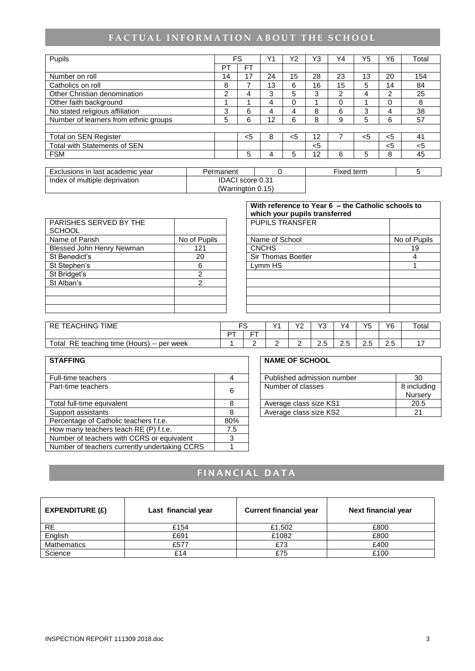# FACTUAL INFORMATION ABOUT THE SCHOOL

| Pupils                                |                  | FS        | Υ1 | Y2    | Y3    | Υ4             | Y5  | Y6             | Total |
|---------------------------------------|------------------|-----------|----|-------|-------|----------------|-----|----------------|-------|
|                                       | PT               | <b>FT</b> |    |       |       |                |     |                |       |
| Number on roll                        | 14               | 17        | 24 | 15    | 28    | 23             | 13  | 20             | 154   |
| Catholics on roll                     | 8                | 7         | 13 | 6     | 16    | 15             | 5.  | 14             | 84    |
| Other Christian denomination          | 2                | 4         | 3  | 5     | 3     | $\overline{2}$ | 4   | $\overline{2}$ | 25    |
| Other faith background                |                  |           | 4  | 0     |       | $\Omega$       |     | 0              | 8     |
| No stated religious affiliation       | 3                | 6         | 4  | 4     | 8     | 6              | 3   | 4              | 38    |
| Number of learners from ethnic groups | 5                | 6         | 12 | 6     | 8     | 9              | 5   | 6              | 57    |
|                                       |                  |           |    |       |       |                |     |                |       |
| Total on SEN Register                 |                  | $<$ 5     | 8  | $<$ 5 | 12    |                | $5$ | $<$ 5          | 41    |
| <b>Total with Statements of SEN</b>   |                  |           |    |       | $<$ 5 |                |     | $5$            | <5    |
| <b>FSM</b>                            |                  | 5         | 4  | 5     | 12    | 6              | 5   | 8              | 45    |
|                                       |                  |           |    |       |       |                |     |                |       |
| Exclusions in last academic year      | Permanent        |           | 0  |       |       | Fixed term     |     |                | 5     |
| Index of multiple deprivation         | IDACI score 0.31 |           |    |       |       |                |     |                |       |

(Warrington 0.15)

|                                         |              | With reference to Year 6 - the Catholic schools to<br>which your pupils transferred |              |
|-----------------------------------------|--------------|-------------------------------------------------------------------------------------|--------------|
| PARISHES SERVED BY THE<br><b>SCHOOL</b> |              | <b>PUPILS TRANSFER</b>                                                              |              |
| Name of Parish                          | No of Pupils | Name of School                                                                      | No of Pupils |
| Blessed John Henry Newman               | 121          | <b>CNCHS</b>                                                                        | 19           |
| St Benedict's                           | 20           | Sir Thomas Boetler                                                                  | 4            |
| St Stephen's                            | 6            | Lymm HS                                                                             |              |
| St Bridget's                            | າ            |                                                                                     |              |
| St Alban's                              | 2            |                                                                                     |              |
|                                         |              |                                                                                     |              |
|                                         |              |                                                                                     |              |
|                                         |              |                                                                                     |              |

| <b>TIME</b><br>ACHING 1<br><b>RE</b><br>EA                  | r c      |            | $\sqrt{4}$ | $\sqrt{2}$<br>. . | $\sqrt{2}$<br>w  | Y <sub>4</sub>  | VĘ<br>◡ | Y6  | Tota. |
|-------------------------------------------------------------|----------|------------|------------|-------------------|------------------|-----------------|---------|-----|-------|
|                                                             | $\Gamma$ | $- -$<br>- |            |                   |                  |                 |         |     |       |
| Total<br>RE.<br>teaching<br>time (Hours)<br>∙ per week<br>. |          |            |            | -                 | $\sim$<br>∽<br>ت | ⌒<br><u>L.J</u> | -<br>ے، | ں ک |       |

| <b>STAFFING</b>                               |     | <b>NAME OF SCHOOL</b>      |                        |
|-----------------------------------------------|-----|----------------------------|------------------------|
| Full-time teachers                            |     | Published admission number | 30                     |
| Part-time teachers                            | 6   | Number of classes          | 8 inclu<br><b>Nurs</b> |
| Total full-time equivalent                    |     | Average class size KS1     | 20.                    |
| Support assistants                            | 8   | Average class size KS2     | 21                     |
| Percentage of Catholic teachers f.t.e.        | 80% |                            |                        |
| How many teachers teach RE (P) f.t.e.         | 7.5 |                            |                        |
| Number of teachers with CCRS or equivalent    |     |                            |                        |
| Number of teachers currently undertaking CCRS |     |                            |                        |

| <b>NAME OF SCHOOL</b>      |             |
|----------------------------|-------------|
| Published admission number | 30          |
| Number of classes          | 8 including |
|                            | Nursery     |
| Average class size KS1     | 20.5        |

# **FINANCIAL DATA**

| EXPENDITURE $(E)$  | Last financial year | <b>Current financial year</b> | Next financial year |
|--------------------|---------------------|-------------------------------|---------------------|
| <b>RE</b>          | £154                | £1,502                        | £800                |
| English            | £691                | £1082                         | £800                |
| <b>Mathematics</b> | £577                | £73                           | £400                |
| Science            | £14                 | £75                           | £100                |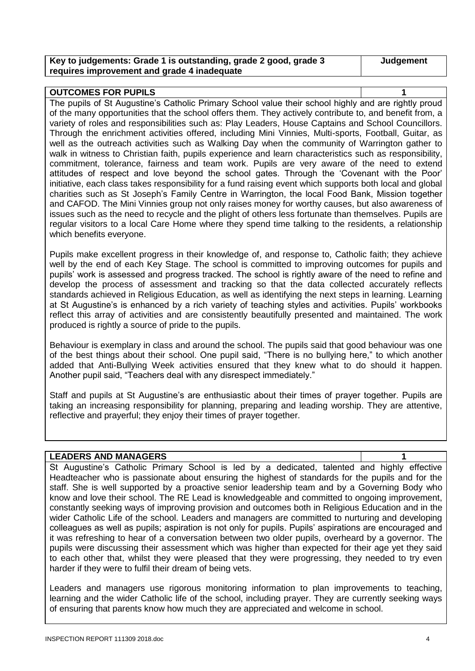| Key to judgements: Grade 1 is outstanding, grade 2 good, grade 3 | Judgement |
|------------------------------------------------------------------|-----------|
| requires improvement and grade 4 inadequate                      |           |

### **OUTCOMES FOR PUPILS 1** The pupils of St Augustine's Catholic Primary School value their school highly and are rightly proud of the many opportunities that the school offers them. They actively contribute to, and benefit from, a variety of roles and responsibilities such as: Play Leaders, House Captains and School Councillors. Through the enrichment activities offered, including Mini Vinnies, Multi-sports, Football, Guitar, as

well as the outreach activities such as Walking Day when the community of Warrington gather to walk in witness to Christian faith, pupils experience and learn characteristics such as responsibility. commitment, tolerance, fairness and team work. Pupils are very aware of the need to extend attitudes of respect and love beyond the school gates. Through the 'Covenant with the Poor' initiative, each class takes responsibility for a fund raising event which supports both local and global charities such as St Joseph's Family Centre in Warrington, the local Food Bank, Mission together and CAFOD. The Mini Vinnies group not only raises money for worthy causes, but also awareness of issues such as the need to recycle and the plight of others less fortunate than themselves. Pupils are regular visitors to a local Care Home where they spend time talking to the residents, a relationship which benefits everyone.

Pupils make excellent progress in their knowledge of, and response to, Catholic faith; they achieve well by the end of each Key Stage. The school is committed to improving outcomes for pupils and pupils' work is assessed and progress tracked. The school is rightly aware of the need to refine and develop the process of assessment and tracking so that the data collected accurately reflects standards achieved in Religious Education, as well as identifying the next steps in learning. Learning at St Augustine's is enhanced by a rich variety of teaching styles and activities. Pupils' workbooks reflect this array of activities and are consistently beautifully presented and maintained. The work produced is rightly a source of pride to the pupils.

Behaviour is exemplary in class and around the school. The pupils said that good behaviour was one of the best things about their school. One pupil said, "There is no bullying here," to which another added that Anti-Bullying Week activities ensured that they knew what to do should it happen. Another pupil said, "Teachers deal with any disrespect immediately."

Staff and pupils at St Augustine's are enthusiastic about their times of prayer together. Pupils are taking an increasing responsibility for planning, preparing and leading worship. They are attentive, reflective and prayerful; they enjoy their times of prayer together.

### **LEADERS AND MANAGERS 1**

St Augustine's Catholic Primary School is led by a dedicated, talented and highly effective Headteacher who is passionate about ensuring the highest of standards for the pupils and for the staff. She is well supported by a proactive senior leadership team and by a Governing Body who know and love their school. The RE Lead is knowledgeable and committed to ongoing improvement, constantly seeking ways of improving provision and outcomes both in Religious Education and in the wider Catholic Life of the school. Leaders and managers are committed to nurturing and developing colleagues as well as pupils; aspiration is not only for pupils. Pupils' aspirations are encouraged and it was refreshing to hear of a conversation between two older pupils, overheard by a governor. The pupils were discussing their assessment which was higher than expected for their age yet they said to each other that, whilst they were pleased that they were progressing, they needed to try even harder if they were to fulfil their dream of being vets.

Leaders and managers use rigorous monitoring information to plan improvements to teaching, learning and the wider Catholic life of the school, including prayer. They are currently seeking ways of ensuring that parents know how much they are appreciated and welcome in school.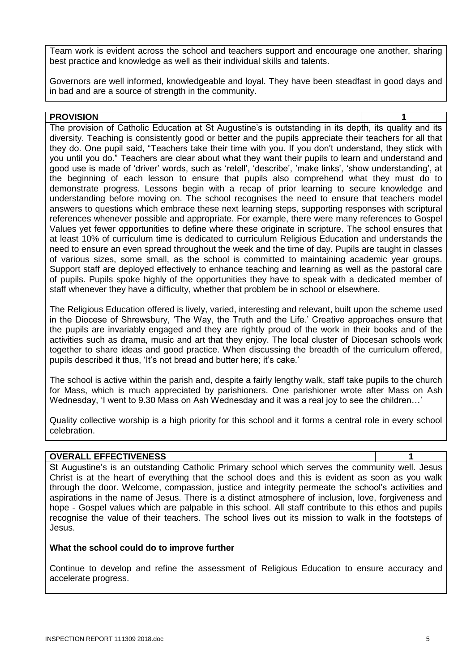Team work is evident across the school and teachers support and encourage one another, sharing best practice and knowledge as well as their individual skills and talents.

Governors are well informed, knowledgeable and loyal. They have been steadfast in good days and in bad and are a source of strength in the community.

#### **PROVISION 1** The provision of Catholic Education at St Augustine's is outstanding in its depth, its quality and its diversity. Teaching is consistently good or better and the pupils appreciate their teachers for all that they do. One pupil said, "Teachers take their time with you. If you don't understand, they stick with you until you do." Teachers are clear about what they want their pupils to learn and understand and good use is made of 'driver' words, such as 'retell', 'describe', 'make links', 'show understanding', at the beginning of each lesson to ensure that pupils also comprehend what they must do to demonstrate progress. Lessons begin with a recap of prior learning to secure knowledge and understanding before moving on. The school recognises the need to ensure that teachers model answers to questions which embrace these next learning steps, supporting responses with scriptural references whenever possible and appropriate. For example, there were many references to Gospel Values yet fewer opportunities to define where these originate in scripture. The school ensures that at least 10% of curriculum time is dedicated to curriculum Religious Education and understands the need to ensure an even spread throughout the week and the time of day. Pupils are taught in classes of various sizes, some small, as the school is committed to maintaining academic year groups. Support staff are deployed effectively to enhance teaching and learning as well as the pastoral care of pupils. Pupils spoke highly of the opportunities they have to speak with a dedicated member of staff whenever they have a difficulty, whether that problem be in school or elsewhere.

The Religious Education offered is lively, varied, interesting and relevant, built upon the scheme used in the Diocese of Shrewsbury, 'The Way, the Truth and the Life.' Creative approaches ensure that the pupils are invariably engaged and they are rightly proud of the work in their books and of the activities such as drama, music and art that they enjoy. The local cluster of Diocesan schools work together to share ideas and good practice. When discussing the breadth of the curriculum offered, pupils described it thus, 'It's not bread and butter here; it's cake.'

The school is active within the parish and, despite a fairly lengthy walk, staff take pupils to the church for Mass, which is much appreciated by parishioners. One parishioner wrote after Mass on Ash Wednesday, 'I went to 9.30 Mass on Ash Wednesday and it was a real joy to see the children…'

Quality collective worship is a high priority for this school and it forms a central role in every school celebration.

#### **OVERALL EFFECTIVENESS 1**

St Augustine's is an outstanding Catholic Primary school which serves the community well. Jesus Christ is at the heart of everything that the school does and this is evident as soon as you walk through the door. Welcome, compassion, justice and integrity permeate the school's activities and aspirations in the name of Jesus. There is a distinct atmosphere of inclusion, love, forgiveness and hope - Gospel values which are palpable in this school. All staff contribute to this ethos and pupils recognise the value of their teachers. The school lives out its mission to walk in the footsteps of Jesus.

#### **What the school could do to improve further**

Continue to develop and refine the assessment of Religious Education to ensure accuracy and accelerate progress.